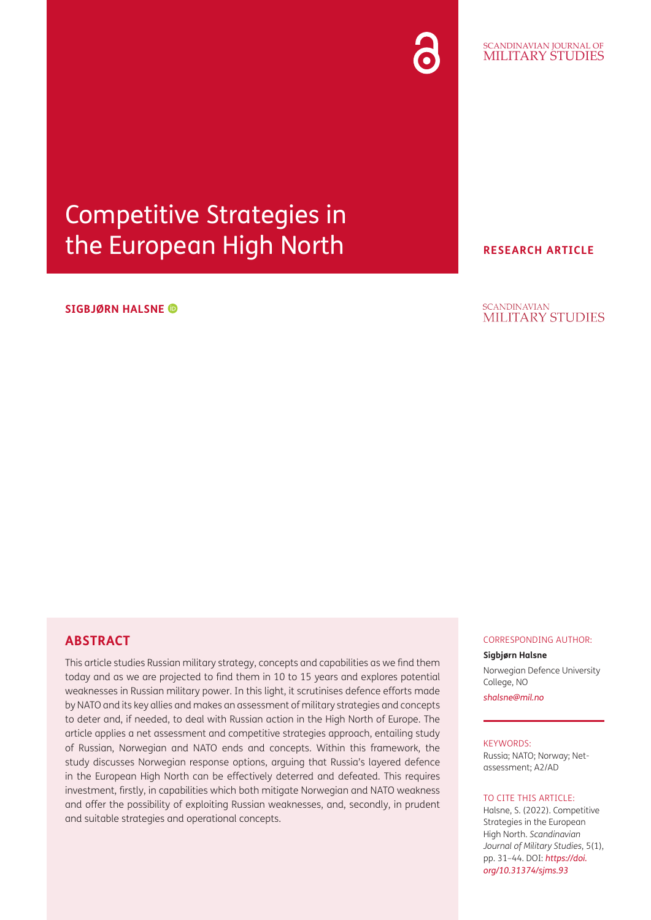# Competitive Strategies in the European High North

## **SIGBJØRN HALSNE**

**RESEARCH ARTICLE**

#### **SCANDINAVIAN** MILITARY STUDIES

# **ABSTRACT**

This article studies Russian military strategy, concepts and capabilities as we find them today and as we are projected to find them in 10 to 15 years and explores potential weaknesses in Russian military power. In this light, it scrutinises defence efforts made by NATO and its key allies and makes an assessment of military strategies and concepts to deter and, if needed, to deal with Russian action in the High North of Europe. The article applies a net assessment and competitive strategies approach, entailing study of Russian, Norwegian and NATO ends and concepts. Within this framework, the study discusses Norwegian response options, arguing that Russia's layered defence in the European High North can be effectively deterred and defeated. This requires investment, firstly, in capabilities which both mitigate Norwegian and NATO weakness and offer the possibility of exploiting Russian weaknesses, and, secondly, in prudent and suitable strategies and operational concepts.

#### CORRESPONDING AUTHOR:

#### **Sigbjørn Halsne**

Norwegian Defence University College, NO

*[shalsne@mil.no](mailto:shalsne@mil.no)*

## KEYWORDS:

Russia; NATO; Norway; Netassessment; A2/AD

### TO CITE THIS ARTICLE:

Halsne, S. (2022). Competitive Strategies in the European High North. *Scandinavian Journal of Military Studies*, 5(1), pp. 31–44. DOI: *[https://doi.](https://doi.org/10.31374/sjms.93) [org/10.31374/sjms.93](https://doi.org/10.31374/sjms.93)*

### SCANDINAVIAN JOURNAL OF MILITARY STUDIES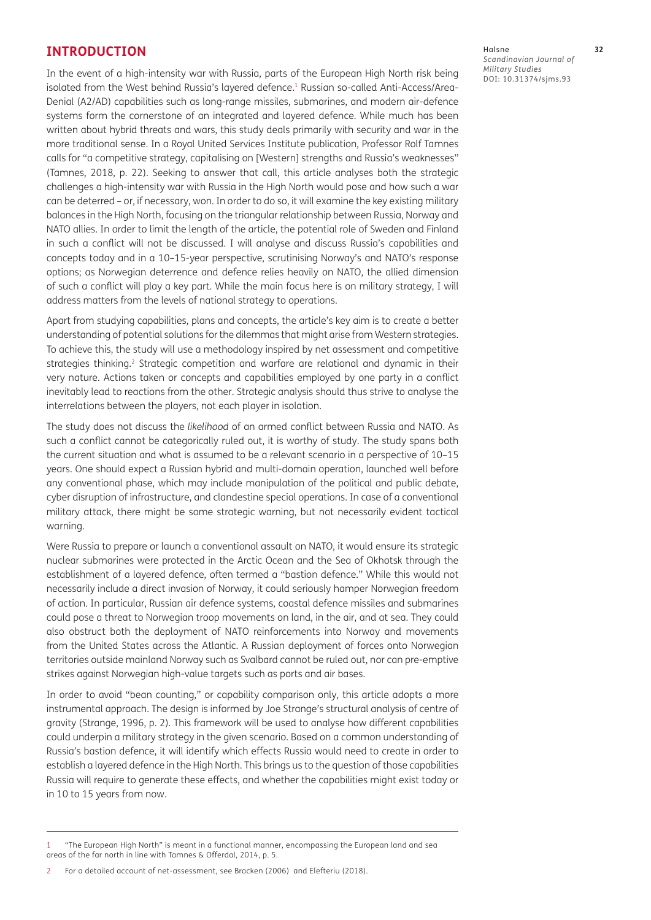## **INTRODUCTION**

In the event of a high-intensity war with Russia, parts of the European High North risk being isolated from the West behind Russia's layered defence.<sup>1</sup> Russian so-called Anti-Access/Area-Denial (A2/AD) capabilities such as long-range missiles, submarines, and modern air-defence systems form the cornerstone of an integrated and layered defence. While much has been written about hybrid threats and wars, this study deals primarily with security and war in the more traditional sense. In a Royal United Services Institute publication, Professor Rolf Tamnes calls for "a competitive strategy, capitalising on [Western] strengths and Russia's weaknesses" [\(Tamnes, 2018,](#page-12-0) p. 22). Seeking to answer that call, this article analyses both the strategic challenges a high-intensity war with Russia in the High North would pose and how such a war can be deterred – or, if necessary, won. In order to do so, it will examine the key existing military balances in the High North, focusing on the triangular relationship between Russia, Norway and NATO allies. In order to limit the length of the article, the potential role of Sweden and Finland in such a conflict will not be discussed. I will analyse and discuss Russia's capabilities and concepts today and in a 10–15-year perspective, scrutinising Norway's and NATO's response options; as Norwegian deterrence and defence relies heavily on NATO, the allied dimension of such a conflict will play a key part. While the main focus here is on military strategy, I will address matters from the levels of national strategy to operations.

Apart from studying capabilities, plans and concepts, the article's key aim is to create a better understanding of potential solutions for the dilemmas that might arise from Western strategies. To achieve this, the study will use a methodology inspired by net assessment and competitive strategies thinking.2 Strategic competition and warfare are relational and dynamic in their very nature. Actions taken or concepts and capabilities employed by one party in a conflict inevitably lead to reactions from the other. Strategic analysis should thus strive to analyse the interrelations between the players, not each player in isolation.

The study does not discuss the *likelihood* of an armed conflict between Russia and NATO. As such a conflict cannot be categorically ruled out, it is worthy of study. The study spans both the current situation and what is assumed to be a relevant scenario in a perspective of 10–15 years. One should expect a Russian hybrid and multi-domain operation, launched well before any conventional phase, which may include manipulation of the political and public debate, cyber disruption of infrastructure, and clandestine special operations. In case of a conventional military attack, there might be some strategic warning, but not necessarily evident tactical warning.

Were Russia to prepare or launch a conventional assault on NATO, it would ensure its strategic nuclear submarines were protected in the Arctic Ocean and the Sea of Okhotsk through the establishment of a layered defence, often termed a "bastion defence." While this would not necessarily include a direct invasion of Norway, it could seriously hamper Norwegian freedom of action. In particular, Russian air defence systems, coastal defence missiles and submarines could pose a threat to Norwegian troop movements on land, in the air, and at sea. They could also obstruct both the deployment of NATO reinforcements into Norway and movements from the United States across the Atlantic. A Russian deployment of forces onto Norwegian territories outside mainland Norway such as Svalbard cannot be ruled out, nor can pre-emptive strikes against Norwegian high-value targets such as ports and air bases.

In order to avoid "bean counting," or capability comparison only, this article adopts a more instrumental approach. The design is informed by Joe Strange's structural analysis of centre of gravity [\(Strange, 1996,](#page-12-0) p. 2). This framework will be used to analyse how different capabilities could underpin a military strategy in the given scenario. Based on a common understanding of Russia's bastion defence, it will identify which effects Russia would need to create in order to establish a layered defence in the High North. This brings us to the question of those capabilities Russia will require to generate these effects, and whether the capabilities might exist today or in 10 to 15 years from now.

Halsne **32** *Scandinavian Journal of Military Studies* DOI: [10.31374/sjms.93](https://doi.org/10.31374/sjms.93)

<sup>1 &</sup>quot;The European High North" is meant in a functional manner, encompassing the European land and sea areas of the far north in line with [Tamnes & Offerdal, 2014](#page-12-0), p. 5.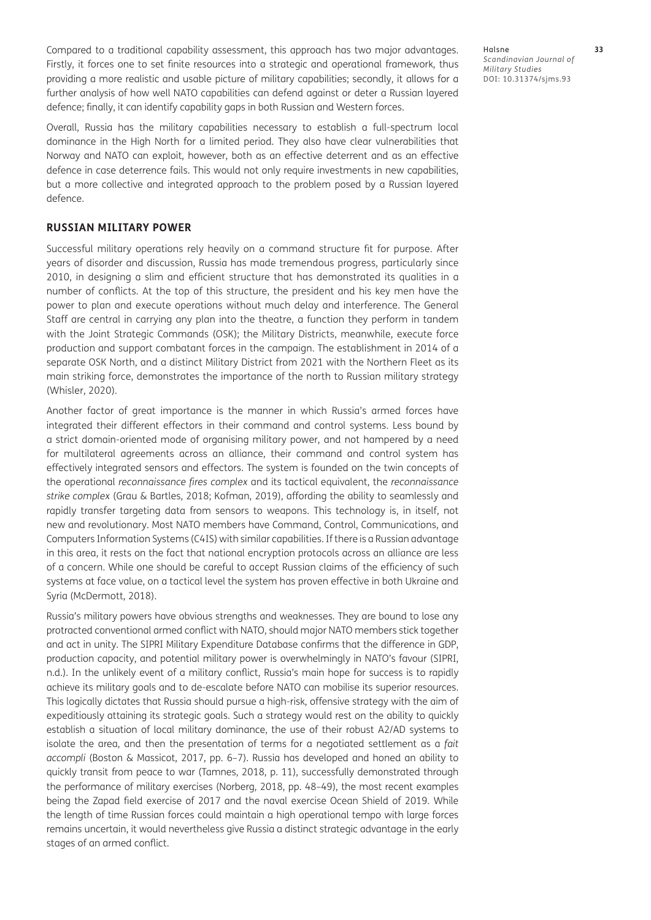Compared to a traditional capability assessment, this approach has two major advantages. Firstly, it forces one to set finite resources into a strategic and operational framework, thus providing a more realistic and usable picture of military capabilities; secondly, it allows for a further analysis of how well NATO capabilities can defend against or deter a Russian layered defence; finally, it can identify capability gaps in both Russian and Western forces.

Overall, Russia has the military capabilities necessary to establish a full-spectrum local dominance in the High North for a limited period. They also have clear vulnerabilities that Norway and NATO can exploit, however, both as an effective deterrent and as an effective defence in case deterrence fails. This would not only require investments in new capabilities, but a more collective and integrated approach to the problem posed by a Russian layered defence.

### **RUSSIAN MILITARY POWER**

Successful military operations rely heavily on a command structure fit for purpose. After years of disorder and discussion, Russia has made tremendous progress, particularly since 2010, in designing a slim and efficient structure that has demonstrated its qualities in a number of conflicts. At the top of this structure, the president and his key men have the power to plan and execute operations without much delay and interference. The General Staff are central in carrying any plan into the theatre, a function they perform in tandem with the Joint Strategic Commands (OSK); the Military Districts, meanwhile, execute force production and support combatant forces in the campaign. The establishment in 2014 of a separate OSK North, and a distinct Military District from 2021 with the Northern Fleet as its main striking force, demonstrates the importance of the north to Russian military strategy ([Whisler, 2020](#page-13-0)).

Another factor of great importance is the manner in which Russia's armed forces have integrated their different effectors in their command and control systems. Less bound by a strict domain-oriented mode of organising military power, and not hampered by a need for multilateral agreements across an alliance, their command and control system has effectively integrated sensors and effectors. The system is founded on the twin concepts of the operational *reconnaissance fires complex* and its tactical equivalent, the *reconnaissance strike complex* [\(Grau & Bartles, 2018](#page-12-0); [Kofman, 2019](#page-12-0)), affording the ability to seamlessly and rapidly transfer targeting data from sensors to weapons. This technology is, in itself, not new and revolutionary. Most NATO members have Command, Control, Communications, and Computers Information Systems (C4IS) with similar capabilities. If there is a Russian advantage in this area, it rests on the fact that national encryption protocols across an alliance are less of a concern. While one should be careful to accept Russian claims of the efficiency of such systems at face value, on a tactical level the system has proven effective in both Ukraine and Syria [\(McDermott, 2018](#page-12-0)).

Russia's military powers have obvious strengths and weaknesses. They are bound to lose any protracted conventional armed conflict with NATO, should major NATO members stick together and act in unity. The SIPRI Military Expenditure Database confirms that the difference in GDP, production capacity, and potential military power is overwhelmingly in NATO's favour [\(SIPRI,](#page-12-0)  [n.d.](#page-12-0)). In the unlikely event of a military conflict, Russia's main hope for success is to rapidly achieve its military goals and to de-escalate before NATO can mobilise its superior resources. This logically dictates that Russia should pursue a high-risk, offensive strategy with the aim of expeditiously attaining its strategic goals. Such a strategy would rest on the ability to quickly establish a situation of local military dominance, the use of their robust A2/AD systems to isolate the area, and then the presentation of terms for a negotiated settlement as a *fait accompli* ([Boston & Massicot, 2017](#page-11-0), pp. 6–7). Russia has developed and honed an ability to quickly transit from peace to war [\(Tamnes, 2018,](#page-12-0) p. 11), successfully demonstrated through the performance of military exercises ([Norberg, 2018,](#page-12-0) pp. 48–49), the most recent examples being the Zapad field exercise of 2017 and the naval exercise Ocean Shield of 2019. While the length of time Russian forces could maintain a high operational tempo with large forces remains uncertain, it would nevertheless give Russia a distinct strategic advantage in the early stages of an armed conflict.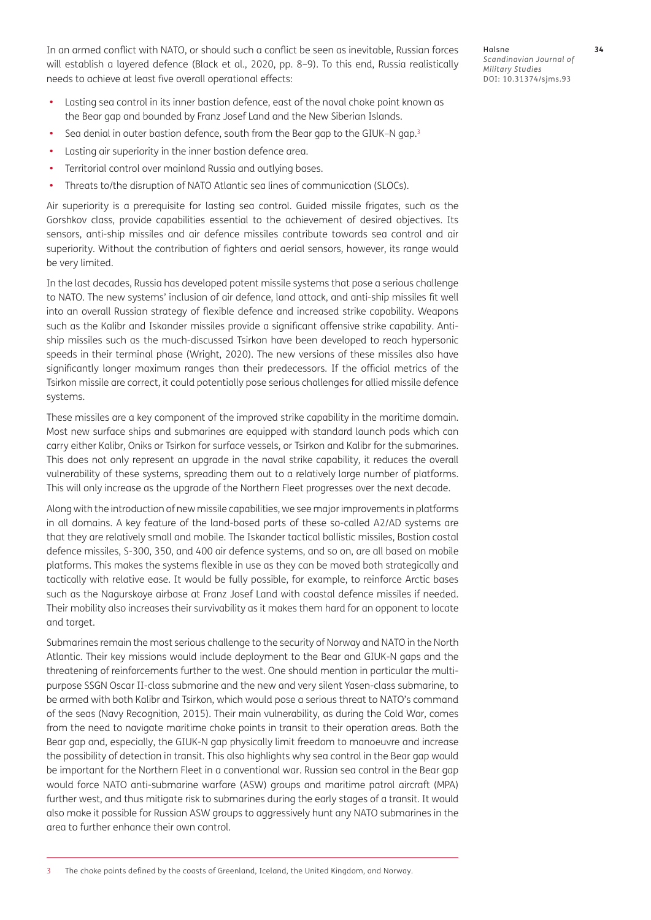In an armed conflict with NATO, or should such a conflict be seen as inevitable, Russian forces will establish a layered defence ([Black et al., 2020](#page-11-0), pp. 8–9). To this end, Russia realistically needs to achieve at least five overall operational effects:

- Lasting sea control in its inner bastion defence, east of the naval choke point known as the Bear gap and bounded by Franz Josef Land and the New Siberian Islands.
- Sea denial in outer bastion defence, south from the Bear gap to the GIUK–N gap.<sup>3</sup>
- Lasting air superiority in the inner bastion defence area.
- **•**  Territorial control over mainland Russia and outlying bases.
- **•**  Threats to/the disruption of NATO Atlantic sea lines of communication (SLOCs).

Air superiority is a prerequisite for lasting sea control. Guided missile frigates, such as the Gorshkov class, provide capabilities essential to the achievement of desired objectives. Its sensors, anti-ship missiles and air defence missiles contribute towards sea control and air superiority. Without the contribution of fighters and aerial sensors, however, its range would be very limited.

In the last decades, Russia has developed potent missile systems that pose a serious challenge to NATO. The new systems' inclusion of air defence, land attack, and anti-ship missiles fit well into an overall Russian strategy of flexible defence and increased strike capability. Weapons such as the Kalibr and Iskander missiles provide a significant offensive strike capability. Antiship missiles such as the much-discussed Tsirkon have been developed to reach hypersonic speeds in their terminal phase [\(Wright, 2020\)](#page-13-0). The new versions of these missiles also have significantly longer maximum ranges than their predecessors. If the official metrics of the Tsirkon missile are correct, it could potentially pose serious challenges for allied missile defence systems.

These missiles are a key component of the improved strike capability in the maritime domain. Most new surface ships and submarines are equipped with standard launch pods which can carry either Kalibr, Oniks or Tsirkon for surface vessels, or Tsirkon and Kalibr for the submarines. This does not only represent an upgrade in the naval strike capability, it reduces the overall vulnerability of these systems, spreading them out to a relatively large number of platforms. This will only increase as the upgrade of the Northern Fleet progresses over the next decade.

Along with the introduction of new missile capabilities, we see major improvements in platforms in all domains. A key feature of the land-based parts of these so-called A2/AD systems are that they are relatively small and mobile. The Iskander tactical ballistic missiles, Bastion costal defence missiles, S-300, 350, and 400 air defence systems, and so on, are all based on mobile platforms. This makes the systems flexible in use as they can be moved both strategically and tactically with relative ease. It would be fully possible, for example, to reinforce Arctic bases such as the Nagurskoye airbase at Franz Josef Land with coastal defence missiles if needed. Their mobility also increases their survivability as it makes them hard for an opponent to locate and target.

Submarines remain the most serious challenge to the security of Norway and NATO in the North Atlantic. Their key missions would include deployment to the Bear and GIUK-N gaps and the threatening of reinforcements further to the west. One should mention in particular the multipurpose SSGN Oscar II-class submarine and the new and very silent Yasen-class submarine, to be armed with both Kalibr and Tsirkon, which would pose a serious threat to NATO's command of the seas ([Navy Recognition, 2015](#page-12-0)). Their main vulnerability, as during the Cold War, comes from the need to navigate maritime choke points in transit to their operation areas. Both the Bear gap and, especially, the GIUK-N gap physically limit freedom to manoeuvre and increase the possibility of detection in transit. This also highlights why sea control in the Bear gap would be important for the Northern Fleet in a conventional war. Russian sea control in the Bear gap would force NATO anti-submarine warfare (ASW) groups and maritime patrol aircraft (MPA) further west, and thus mitigate risk to submarines during the early stages of a transit. It would also make it possible for Russian ASW groups to aggressively hunt any NATO submarines in the area to further enhance their own control.

Halsne **34** *Scandinavian Journal of Military Studies* DOI: [10.31374/sjms.93](https://doi.org/10.31374/sjms.93)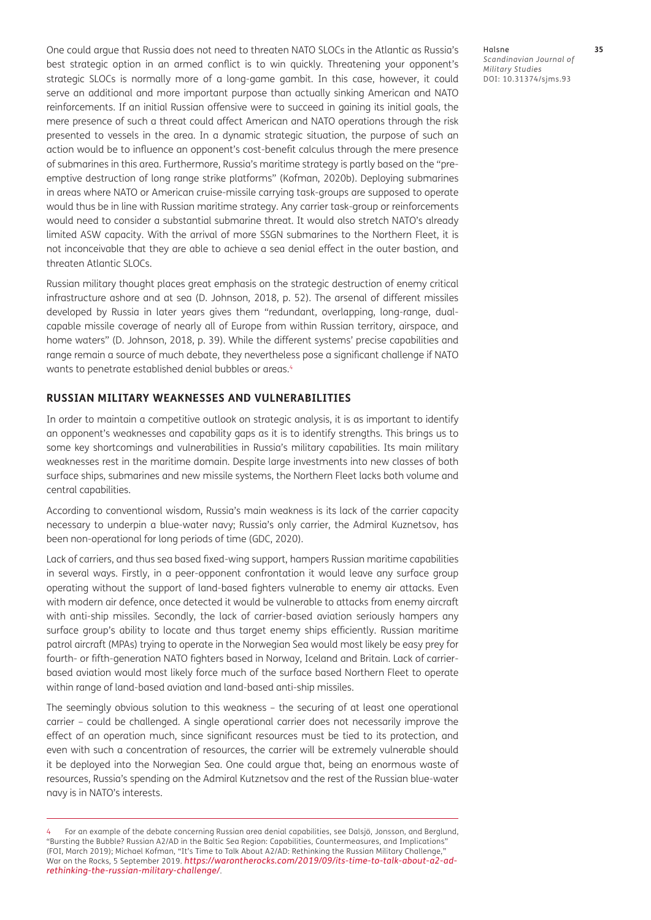One could argue that Russia does not need to threaten NATO SLOCs in the Atlantic as Russia's best strategic option in an armed conflict is to win quickly. Threatening your opponent's strategic SLOCs is normally more of a long-game gambit. In this case, however, it could serve an additional and more important purpose than actually sinking American and NATO reinforcements. If an initial Russian offensive were to succeed in gaining its initial goals, the mere presence of such a threat could affect American and NATO operations through the risk presented to vessels in the area. In a dynamic strategic situation, the purpose of such an action would be to influence an opponent's cost-benefit calculus through the mere presence of submarines in this area. Furthermore, Russia's maritime strategy is partly based on the "preemptive destruction of long range strike platforms" ([Kofman, 2020b\)](#page-12-0). Deploying submarines in areas where NATO or American cruise-missile carrying task-groups are supposed to operate would thus be in line with Russian maritime strategy. Any carrier task-group or reinforcements would need to consider a substantial submarine threat. It would also stretch NATO's already limited ASW capacity. With the arrival of more SSGN submarines to the Northern Fleet, it is not inconceivable that they are able to achieve a sea denial effect in the outer bastion, and threaten Atlantic SLOCs.

Russian military thought places great emphasis on the strategic destruction of enemy critical infrastructure ashore and at sea ([D. Johnson, 2018](#page-12-0), p. 52). The arsenal of different missiles developed by Russia in later years gives them "redundant, overlapping, long-range, dualcapable missile coverage of nearly all of Europe from within Russian territory, airspace, and home waters" ([D. Johnson, 2018,](#page-12-0) p. 39). While the different systems' precise capabilities and range remain a source of much debate, they nevertheless pose a significant challenge if NATO wants to penetrate established denial bubbles or areas.<sup>4</sup>

#### **RUSSIAN MILITARY WEAKNESSES AND VULNERABILITIES**

In order to maintain a competitive outlook on strategic analysis, it is as important to identify an opponent's weaknesses and capability gaps as it is to identify strengths. This brings us to some key shortcomings and vulnerabilities in Russia's military capabilities. Its main military weaknesses rest in the maritime domain. Despite large investments into new classes of both surface ships, submarines and new missile systems, the Northern Fleet lacks both volume and central capabilities.

According to conventional wisdom, Russia's main weakness is its lack of the carrier capacity necessary to underpin a blue-water navy; Russia's only carrier, the Admiral Kuznetsov, has been non-operational for long periods of time ([GDC, 2020](#page-12-0)).

Lack of carriers, and thus sea based fixed-wing support, hampers Russian maritime capabilities in several ways. Firstly, in a peer-opponent confrontation it would leave any surface group operating without the support of land-based fighters vulnerable to enemy air attacks. Even with modern air defence, once detected it would be vulnerable to attacks from enemy aircraft with anti-ship missiles. Secondly, the lack of carrier-based aviation seriously hampers any surface group's ability to locate and thus target enemy ships efficiently. Russian maritime patrol aircraft (MPAs) trying to operate in the Norwegian Sea would most likely be easy prey for fourth- or fifth-generation NATO fighters based in Norway, Iceland and Britain. Lack of carrierbased aviation would most likely force much of the surface based Northern Fleet to operate within range of land-based aviation and land-based anti-ship missiles.

The seemingly obvious solution to this weakness – the securing of at least one operational carrier – could be challenged. A single operational carrier does not necessarily improve the effect of an operation much, since significant resources must be tied to its protection, and even with such a concentration of resources, the carrier will be extremely vulnerable should it be deployed into the Norwegian Sea. One could argue that, being an enormous waste of resources, Russia's spending on the Admiral Kutznetsov and the rest of the Russian blue-water navy is in NATO's interests.

<sup>4</sup> For an example of the debate concerning Russian area denial capabilities, see Dalsjö, Jonsson, and Berglund, "Bursting the Bubble? Russian A2/AD in the Baltic Sea Region: Capabilities, Countermeasures, and Implications" (FOI, March 2019); Michael Kofman, "It's Time to Talk About A2/AD: Rethinking the Russian Military Challenge," War on the Rocks, 5 September 2019. *[https://warontherocks.com/2019/09/its-time-to-talk-about-a2-ad](https://warontherocks.com/2019/09/its-time-to-talk-about-a2-ad-rethinking-the-russian-military-challenge/)[rethinking-the-russian-military-challenge/](https://warontherocks.com/2019/09/its-time-to-talk-about-a2-ad-rethinking-the-russian-military-challenge/)*.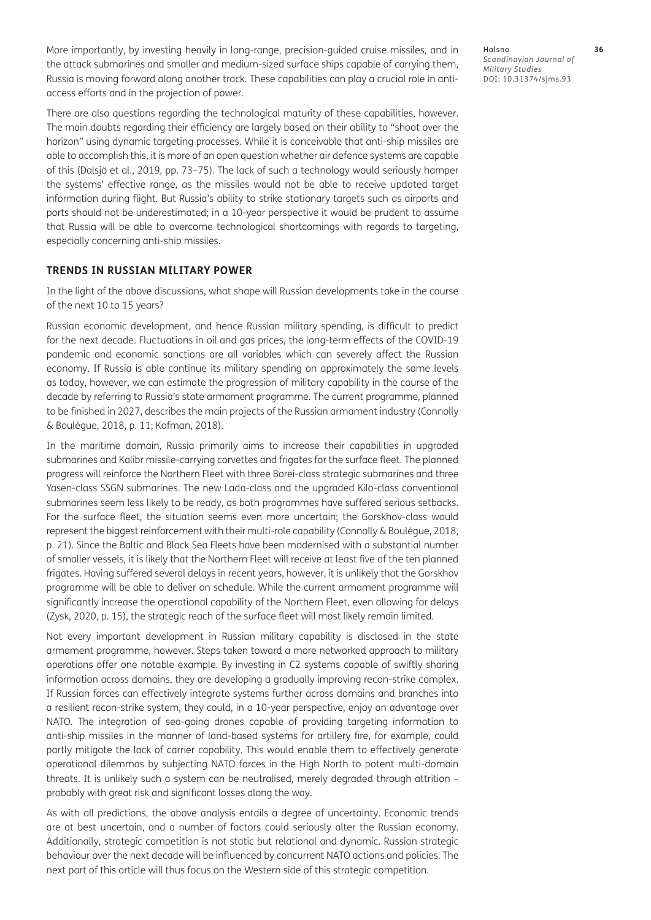More importantly, by investing heavily in long-range, precision-guided cruise missiles, and in the attack submarines and smaller and medium-sized surface ships capable of carrying them, Russia is moving forward along another track. These capabilities can play a crucial role in antiaccess efforts and in the projection of power.

There are also questions regarding the technological maturity of these capabilities, however. The main doubts regarding their efficiency are largely based on their ability to "shoot over the horizon" using dynamic targeting processes. While it is conceivable that anti-ship missiles are able to accomplish this, it is more of an open question whether air defence systems are capable of this [\(Dalsjö et al., 2019](#page-11-0), pp. 73–75). The lack of such a technology would seriously hamper the systems' effective range, as the missiles would not be able to receive updated target information during flight. But Russia's ability to strike stationary targets such as airports and ports should not be underestimated; in a 10-year perspective it would be prudent to assume that Russia will be able to overcome technological shortcomings with regards to targeting, especially concerning anti-ship missiles.

## **TRENDS IN RUSSIAN MILITARY POWER**

In the light of the above discussions, what shape will Russian developments take in the course of the next 10 to 15 years?

Russian economic development, and hence Russian military spending, is difficult to predict for the next decade. Fluctuations in oil and gas prices, the long-term effects of the COVID-19 pandemic and economic sanctions are all variables which can severely affect the Russian economy. If Russia is able continue its military spending on approximately the same levels as today, however, we can estimate the progression of military capability in the course of the decade by referring to Russia's state armament programme. The current programme, planned to be finished in 2027, describes the main projects of the Russian armament industry [\(Connolly](#page-11-0)  [& Boulègue, 2018,](#page-11-0) p. 11; [Kofman, 2018](#page-12-0)).

In the maritime domain, Russia primarily aims to increase their capabilities in upgraded submarines and Kalibr missile-carrying corvettes and frigates for the surface fleet. The planned progress will reinforce the Northern Fleet with three Borei-class strategic submarines and three Yasen-class SSGN submarines. The new Lada-class and the upgraded Kilo-class conventional submarines seem less likely to be ready, as both programmes have suffered serious setbacks. For the surface fleet, the situation seems even more uncertain; the Gorskhov-class would represent the biggest reinforcement with their multi-role capability [\(Connolly & Boulègue, 2018](#page-11-0), p. 21). Since the Baltic and Black Sea Fleets have been modernised with a substantial number of smaller vessels, it is likely that the Northern Fleet will receive at least five of the ten planned frigates. Having suffered several delays in recent years, however, it is unlikely that the Gorskhov programme will be able to deliver on schedule. While the current armament programme will significantly increase the operational capability of the Northern Fleet, even allowing for delays [\(Zysk, 2020](#page-13-0), p. 15), the strategic reach of the surface fleet will most likely remain limited.

Not every important development in Russian military capability is disclosed in the state armament programme, however. Steps taken toward a more networked approach to military operations offer one notable example. By investing in C2 systems capable of swiftly sharing information across domains, they are developing a gradually improving recon-strike complex. If Russian forces can effectively integrate systems further across domains and branches into a resilient recon-strike system, they could, in a 10-year perspective, enjoy an advantage over NATO. The integration of sea-going drones capable of providing targeting information to anti-ship missiles in the manner of land-based systems for artillery fire, for example, could partly mitigate the lack of carrier capability. This would enable them to effectively generate operational dilemmas by subjecting NATO forces in the High North to potent multi-domain threats. It is unlikely such a system can be neutralised, merely degraded through attrition – probably with great risk and significant losses along the way.

As with all predictions, the above analysis entails a degree of uncertainty. Economic trends are at best uncertain, and a number of factors could seriously alter the Russian economy. Additionally, strategic competition is not static but relational and dynamic. Russian strategic behaviour over the next decade will be influenced by concurrent NATO actions and policies. The next part of this article will thus focus on the Western side of this strategic competition.

Halsne **36** *Scandinavian Journal of Military Studies* DOI: [10.31374/sjms.93](https://doi.org/10.31374/sjms.93)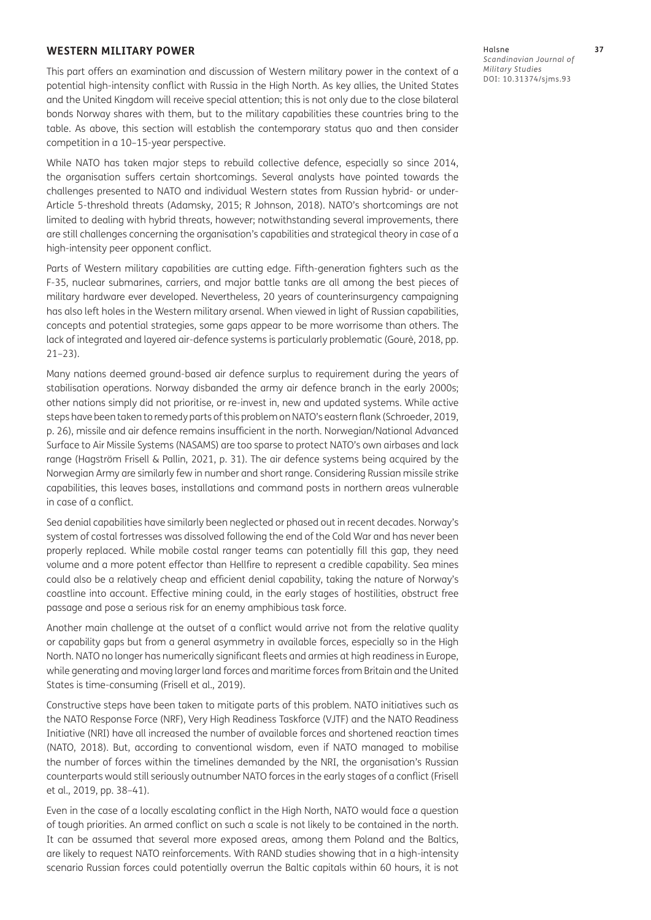#### **WESTERN MILITARY POWER**

This part offers an examination and discussion of Western military power in the context of a potential high-intensity conflict with Russia in the High North. As key allies, the United States and the United Kingdom will receive special attention; this is not only due to the close bilateral bonds Norway shares with them, but to the military capabilities these countries bring to the table. As above, this section will establish the contemporary status quo and then consider competition in a 10–15-year perspective.

While NATO has taken major steps to rebuild collective defence, especially so since 2014, the organisation suffers certain shortcomings. Several analysts have pointed towards the challenges presented to NATO and individual Western states from Russian hybrid- or under-Article 5-threshold threats ([Adamsky, 2015](#page-11-0); [R Johnson, 2018](#page-12-0)). NATO's shortcomings are not limited to dealing with hybrid threats, however; notwithstanding several improvements, there are still challenges concerning the organisation's capabilities and strategical theory in case of a high-intensity peer opponent conflict.

Parts of Western military capabilities are cutting edge. Fifth-generation fighters such as the F-35, nuclear submarines, carriers, and major battle tanks are all among the best pieces of military hardware ever developed. Nevertheless, 20 years of counterinsurgency campaigning has also left holes in the Western military arsenal. When viewed in light of Russian capabilities, concepts and potential strategies, some gaps appear to be more worrisome than others. The lack of integrated and layered air-defence systems is particularly problematic [\(Gourè, 2018](#page-12-0), pp. 21–23).

Many nations deemed ground-based air defence surplus to requirement during the years of stabilisation operations. Norway disbanded the army air defence branch in the early 2000s; other nations simply did not prioritise, or re-invest in, new and updated systems. While active steps have been taken to remedy parts of this problem on NATO's eastern flank ([Schroeder, 2019](#page-12-0), p. 26), missile and air defence remains insufficient in the north. Norwegian/National Advanced Surface to Air Missile Systems (NASAMS) are too sparse to protect NATO's own airbases and lack range ([Hagström Frisell & Pallin, 2021,](#page-12-0) p. 31). The air defence systems being acquired by the Norwegian Army are similarly few in number and short range. Considering Russian missile strike capabilities, this leaves bases, installations and command posts in northern areas vulnerable in case of a conflict.

Sea denial capabilities have similarly been neglected or phased out in recent decades. Norway's system of costal fortresses was dissolved following the end of the Cold War and has never been properly replaced. While mobile costal ranger teams can potentially fill this gap, they need volume and a more potent effector than Hellfire to represent a credible capability. Sea mines could also be a relatively cheap and efficient denial capability, taking the nature of Norway's coastline into account. Effective mining could, in the early stages of hostilities, obstruct free passage and pose a serious risk for an enemy amphibious task force.

Another main challenge at the outset of a conflict would arrive not from the relative quality or capability gaps but from a general asymmetry in available forces, especially so in the High North. NATO no longer has numerically significant fleets and armies at high readiness in Europe, while generating and moving larger land forces and maritime forces from Britain and the United States is time-consuming ([Frisell et al., 2019](#page-11-0)).

Constructive steps have been taken to mitigate parts of this problem. NATO initiatives such as the NATO Response Force (NRF), Very High Readiness Taskforce (VJTF) and the NATO Readiness Initiative (NRI) have all increased the number of available forces and shortened reaction times [\(NATO, 2018](#page-12-0)). But, according to conventional wisdom, even if NATO managed to mobilise the number of forces within the timelines demanded by the NRI, the organisation's Russian counterparts would still seriously outnumber NATO forces in the early stages of a conflict [\(Frisell](#page-11-0)  [et al., 2019](#page-11-0), pp. 38–41).

Even in the case of a locally escalating conflict in the High North, NATO would face a question of tough priorities. An armed conflict on such a scale is not likely to be contained in the north. It can be assumed that several more exposed areas, among them Poland and the Baltics, are likely to request NATO reinforcements. With RAND studies showing that in a high-intensity scenario Russian forces could potentially overrun the Baltic capitals within 60 hours, it is not Halsne **37** *Scandinavian Journal of Military Studies* DOI: [10.31374/sjms.93](https://doi.org/10.31374/sjms.93)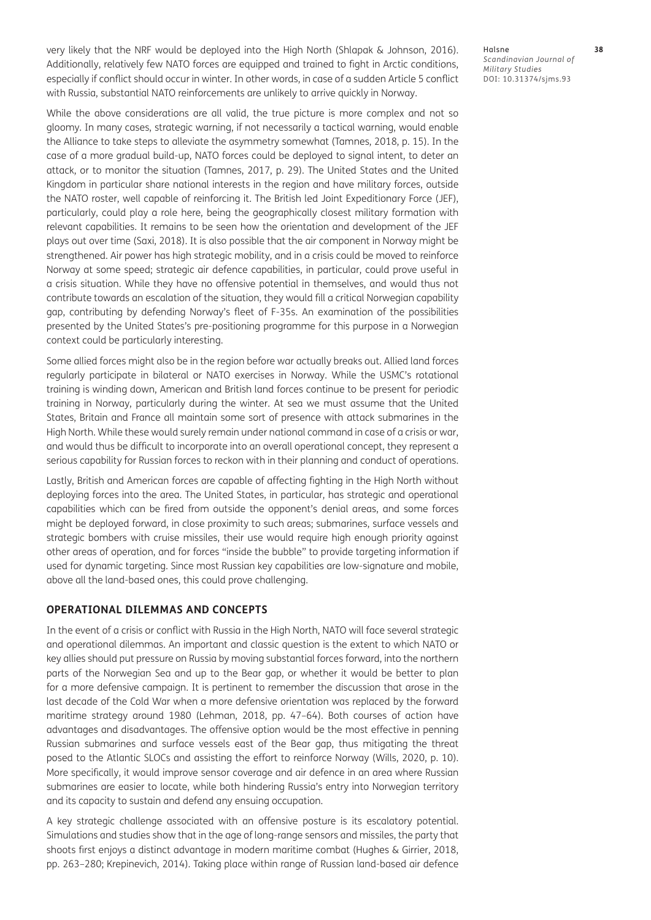very likely that the NRF would be deployed into the High North ([Shlapak & Johnson, 2016](#page-12-0)). Additionally, relatively few NATO forces are equipped and trained to fight in Arctic conditions, especially if conflict should occur in winter. In other words, in case of a sudden Article 5 conflict with Russia, substantial NATO reinforcements are unlikely to arrive quickly in Norway.

While the above considerations are all valid, the true picture is more complex and not so gloomy. In many cases, strategic warning, if not necessarily a tactical warning, would enable the Alliance to take steps to alleviate the asymmetry somewhat [\(Tamnes, 2018](#page-12-0), p. 15). In the case of a more gradual build-up, NATO forces could be deployed to signal intent, to deter an attack, or to monitor the situation ([Tamnes, 2017](#page-12-0), p. 29). The United States and the United Kingdom in particular share national interests in the region and have military forces, outside the NATO roster, well capable of reinforcing it. The British led Joint Expeditionary Force (JEF), particularly, could play a role here, being the geographically closest military formation with relevant capabilities. It remains to be seen how the orientation and development of the JEF plays out over time ([Saxi, 2018](#page-12-0)). It is also possible that the air component in Norway might be strengthened. Air power has high strategic mobility, and in a crisis could be moved to reinforce Norway at some speed; strategic air defence capabilities, in particular, could prove useful in a crisis situation. While they have no offensive potential in themselves, and would thus not contribute towards an escalation of the situation, they would fill a critical Norwegian capability gap, contributing by defending Norway's fleet of F-35s. An examination of the possibilities presented by the United States's pre-positioning programme for this purpose in a Norwegian context could be particularly interesting.

Some allied forces might also be in the region before war actually breaks out. Allied land forces regularly participate in bilateral or NATO exercises in Norway. While the USMC's rotational training is winding down, American and British land forces continue to be present for periodic training in Norway, particularly during the winter. At sea we must assume that the United States, Britain and France all maintain some sort of presence with attack submarines in the High North. While these would surely remain under national command in case of a crisis or war, and would thus be difficult to incorporate into an overall operational concept, they represent a serious capability for Russian forces to reckon with in their planning and conduct of operations.

Lastly, British and American forces are capable of affecting fighting in the High North without deploying forces into the area. The United States, in particular, has strategic and operational capabilities which can be fired from outside the opponent's denial areas, and some forces might be deployed forward, in close proximity to such areas; submarines, surface vessels and strategic bombers with cruise missiles, their use would require high enough priority against other areas of operation, and for forces "inside the bubble" to provide targeting information if used for dynamic targeting. Since most Russian key capabilities are low-signature and mobile, above all the land-based ones, this could prove challenging.

#### **OPERATIONAL DILEMMAS AND CONCEPTS**

In the event of a crisis or conflict with Russia in the High North, NATO will face several strategic and operational dilemmas. An important and classic question is the extent to which NATO or key allies should put pressure on Russia by moving substantial forces forward, into the northern parts of the Norwegian Sea and up to the Bear gap, or whether it would be better to plan for a more defensive campaign. It is pertinent to remember the discussion that arose in the last decade of the Cold War when a more defensive orientation was replaced by the forward maritime strategy around 1980 [\(Lehman, 2018](#page-12-0), pp. 47–64). Both courses of action have advantages and disadvantages. The offensive option would be the most effective in penning Russian submarines and surface vessels east of the Bear gap, thus mitigating the threat posed to the Atlantic SLOCs and assisting the effort to reinforce Norway ([Wills, 2020,](#page-13-0) p. 10). More specifically, it would improve sensor coverage and air defence in an area where Russian submarines are easier to locate, while both hindering Russia's entry into Norwegian territory and its capacity to sustain and defend any ensuing occupation.

A key strategic challenge associated with an offensive posture is its escalatory potential. Simulations and studies show that in the age of long-range sensors and missiles, the party that shoots first enjoys a distinct advantage in modern maritime combat ([Hughes & Girrier, 2018](#page-12-0), pp. 263–280; [Krepinevich, 2014](#page-12-0)). Taking place within range of Russian land-based air defence

Halsne **38** *Scandinavian Journal of Military Studies* DOI: [10.31374/sjms.93](https://doi.org/10.31374/sjms.93)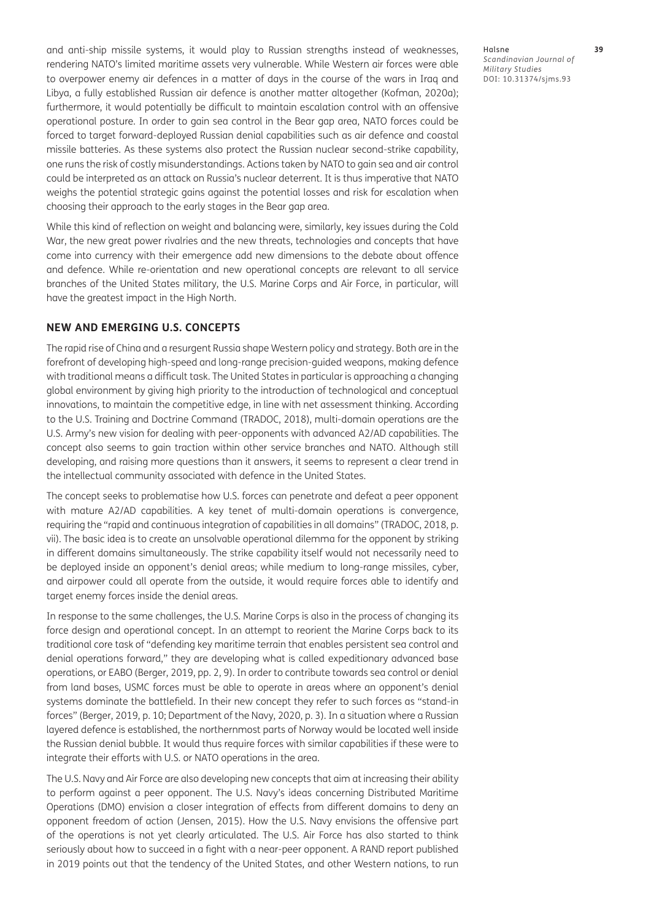and anti-ship missile systems, it would play to Russian strengths instead of weaknesses, rendering NATO's limited maritime assets very vulnerable. While Western air forces were able to overpower enemy air defences in a matter of days in the course of the wars in Iraq and Libya, a fully established Russian air defence is another matter altogether ([Kofman, 2020a](#page-12-0)); furthermore, it would potentially be difficult to maintain escalation control with an offensive operational posture. In order to gain sea control in the Bear gap area, NATO forces could be forced to target forward-deployed Russian denial capabilities such as air defence and coastal missile batteries. As these systems also protect the Russian nuclear second-strike capability, one runs the risk of costly misunderstandings. Actions taken by NATO to gain sea and air control could be interpreted as an attack on Russia's nuclear deterrent. It is thus imperative that NATO weighs the potential strategic gains against the potential losses and risk for escalation when choosing their approach to the early stages in the Bear gap area.

While this kind of reflection on weight and balancing were, similarly, key issues during the Cold War, the new great power rivalries and the new threats, technologies and concepts that have come into currency with their emergence add new dimensions to the debate about offence and defence. While re-orientation and new operational concepts are relevant to all service branches of the United States military, the U.S. Marine Corps and Air Force, in particular, will have the greatest impact in the High North.

### **NEW AND EMERGING U.S. CONCEPTS**

The rapid rise of China and a resurgent Russia shape Western policy and strategy. Both are in the forefront of developing high-speed and long-range precision-guided weapons, making defence with traditional means a difficult task. The United States in particular is approaching a changing global environment by giving high priority to the introduction of technological and conceptual innovations, to maintain the competitive edge, in line with net assessment thinking. According to the [U.S. Training and Doctrine Command \(TRADOC, 2018\)](#page-12-0), multi-domain operations are the U.S. Army's new vision for dealing with peer-opponents with advanced A2/AD capabilities. The concept also seems to gain traction within other service branches and NATO. Although still developing, and raising more questions than it answers, it seems to represent a clear trend in the intellectual community associated with defence in the United States.

The concept seeks to problematise how U.S. forces can penetrate and defeat a peer opponent with mature A2/AD capabilities. A key tenet of multi-domain operations is convergence, requiring the "rapid and continuous integration of capabilities in all domains" (TRADOC, 2018, p. vii). The basic idea is to create an unsolvable operational dilemma for the opponent by striking in different domains simultaneously. The strike capability itself would not necessarily need to be deployed inside an opponent's denial areas; while medium to long-range missiles, cyber, and airpower could all operate from the outside, it would require forces able to identify and target enemy forces inside the denial areas.

In response to the same challenges, the U.S. Marine Corps is also in the process of changing its force design and operational concept. In an attempt to reorient the Marine Corps back to its traditional core task of "defending key maritime terrain that enables persistent sea control and denial operations forward," they are developing what is called expeditionary advanced base operations, or EABO [\(Berger, 2019,](#page-11-0) pp. 2, 9). In order to contribute towards sea control or denial from land bases, USMC forces must be able to operate in areas where an opponent's denial systems dominate the battlefield. In their new concept they refer to such forces as "stand-in forces" ([Berger, 2019](#page-11-0), p. 10; [Department of the Navy, 2020,](#page-11-0) p. 3). In a situation where a Russian layered defence is established, the northernmost parts of Norway would be located well inside the Russian denial bubble. It would thus require forces with similar capabilities if these were to integrate their efforts with U.S. or NATO operations in the area.

The U.S. Navy and Air Force are also developing new concepts that aim at increasing their ability to perform against a peer opponent. The U.S. Navy's ideas concerning Distributed Maritime Operations (DMO) envision a closer integration of effects from different domains to deny an opponent freedom of action ([Jensen, 2015](#page-12-0)). How the U.S. Navy envisions the offensive part of the operations is not yet clearly articulated. The U.S. Air Force has also started to think seriously about how to succeed in a fight with a near-peer opponent. A RAND report published in 2019 points out that the tendency of the United States, and other Western nations, to run

Halsne **39** *Scandinavian Journal of Military Studies* DOI: [10.31374/sjms.93](https://doi.org/10.31374/sjms.93)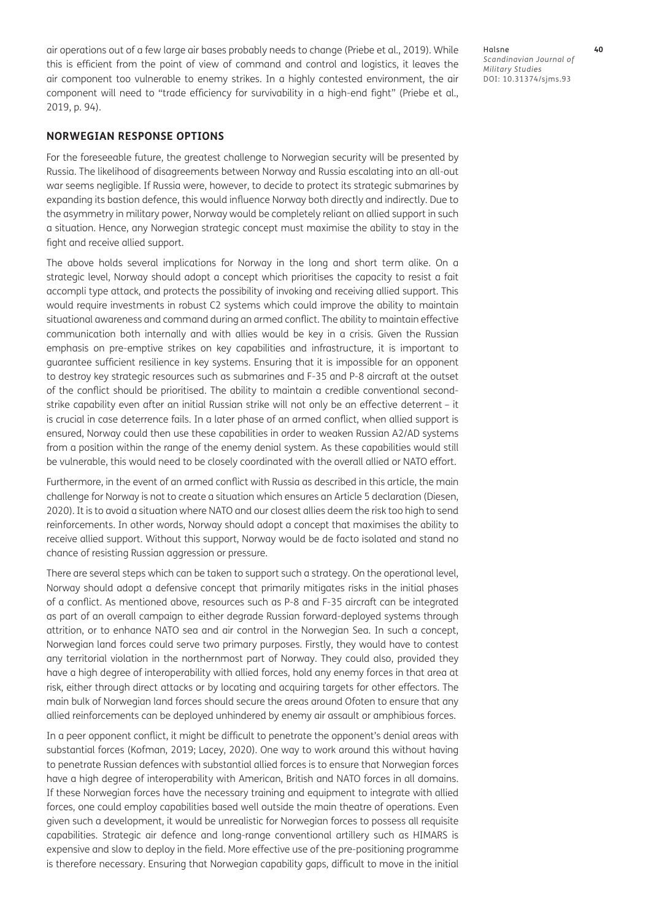air operations out of a few large air bases probably needs to change [\(Priebe et al., 2019](#page-12-0)). While this is efficient from the point of view of command and control and logistics, it leaves the air component too vulnerable to enemy strikes. In a highly contested environment, the air component will need to "trade efficiency for survivability in a high-end fight" [\(Priebe et al.,](#page-12-0)  [2019](#page-12-0), p. 94).

#### **NORWEGIAN RESPONSE OPTIONS**

For the foreseeable future, the greatest challenge to Norwegian security will be presented by Russia. The likelihood of disagreements between Norway and Russia escalating into an all-out war seems negligible. If Russia were, however, to decide to protect its strategic submarines by expanding its bastion defence, this would influence Norway both directly and indirectly. Due to the asymmetry in military power, Norway would be completely reliant on allied support in such a situation. Hence, any Norwegian strategic concept must maximise the ability to stay in the fight and receive allied support.

The above holds several implications for Norway in the long and short term alike. On a strategic level, Norway should adopt a concept which prioritises the capacity to resist a fait accompli type attack, and protects the possibility of invoking and receiving allied support. This would require investments in robust C2 systems which could improve the ability to maintain situational awareness and command during an armed conflict. The ability to maintain effective communication both internally and with allies would be key in a crisis. Given the Russian emphasis on pre-emptive strikes on key capabilities and infrastructure, it is important to guarantee sufficient resilience in key systems. Ensuring that it is impossible for an opponent to destroy key strategic resources such as submarines and F-35 and P-8 aircraft at the outset of the conflict should be prioritised. The ability to maintain a credible conventional secondstrike capability even after an initial Russian strike will not only be an effective deterrent – it is crucial in case deterrence fails. In a later phase of an armed conflict, when allied support is ensured, Norway could then use these capabilities in order to weaken Russian A2/AD systems from a position within the range of the enemy denial system. As these capabilities would still be vulnerable, this would need to be closely coordinated with the overall allied or NATO effort.

Furthermore, in the event of an armed conflict with Russia as described in this article, the main challenge for Norway is not to create a situation which ensures an Article 5 declaration ([Diesen,](#page-11-0)  [2020](#page-11-0)). It is to avoid a situation where NATO and our closest allies deem the risk too high to send reinforcements. In other words, Norway should adopt a concept that maximises the ability to receive allied support. Without this support, Norway would be de facto isolated and stand no chance of resisting Russian aggression or pressure.

There are several steps which can be taken to support such a strategy. On the operational level, Norway should adopt a defensive concept that primarily mitigates risks in the initial phases of a conflict. As mentioned above, resources such as P-8 and F-35 aircraft can be integrated as part of an overall campaign to either degrade Russian forward-deployed systems through attrition, or to enhance NATO sea and air control in the Norwegian Sea. In such a concept, Norwegian land forces could serve two primary purposes. Firstly, they would have to contest any territorial violation in the northernmost part of Norway. They could also, provided they have a high degree of interoperability with allied forces, hold any enemy forces in that area at risk, either through direct attacks or by locating and acquiring targets for other effectors. The main bulk of Norwegian land forces should secure the areas around Ofoten to ensure that any allied reinforcements can be deployed unhindered by enemy air assault or amphibious forces.

In a peer opponent conflict, it might be difficult to penetrate the opponent's denial areas with substantial forces ([Kofman, 2019;](#page-12-0) [Lacey, 2020](#page-12-0)). One way to work around this without having to penetrate Russian defences with substantial allied forces is to ensure that Norwegian forces have a high degree of interoperability with American, British and NATO forces in all domains. If these Norwegian forces have the necessary training and equipment to integrate with allied forces, one could employ capabilities based well outside the main theatre of operations. Even given such a development, it would be unrealistic for Norwegian forces to possess all requisite capabilities. Strategic air defence and long-range conventional artillery such as HIMARS is expensive and slow to deploy in the field. More effective use of the pre-positioning programme is therefore necessary. Ensuring that Norwegian capability gaps, difficult to move in the initial Halsne **40** *Scandinavian Journal of Military Studies* DOI: [10.31374/sjms.93](https://doi.org/10.31374/sjms.93)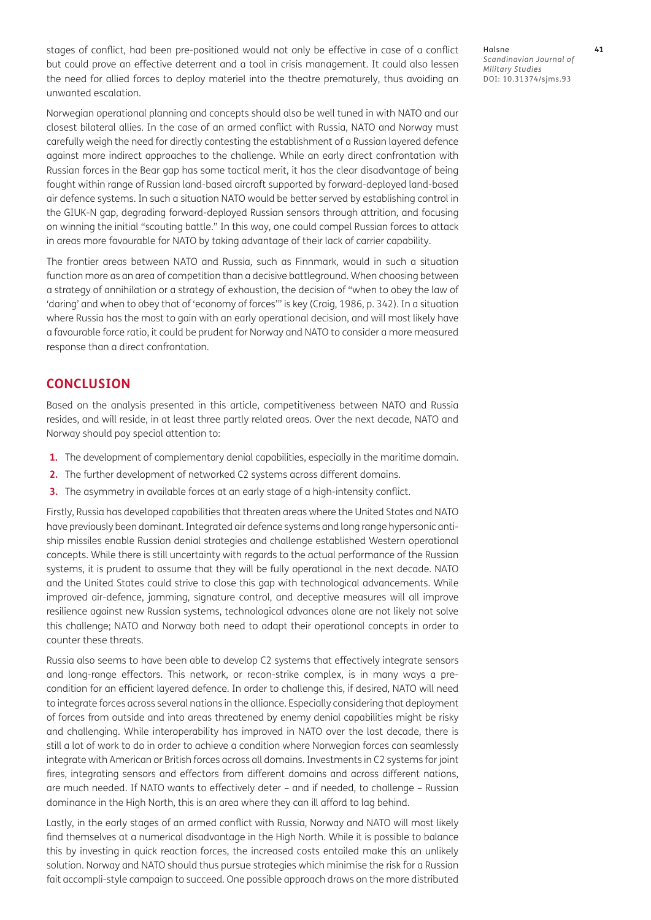stages of conflict, had been pre-positioned would not only be effective in case of a conflict but could prove an effective deterrent and a tool in crisis management. It could also lessen the need for allied forces to deploy materiel into the theatre prematurely, thus avoiding an unwanted escalation.

Norwegian operational planning and concepts should also be well tuned in with NATO and our closest bilateral allies. In the case of an armed conflict with Russia, NATO and Norway must carefully weigh the need for directly contesting the establishment of a Russian layered defence against more indirect approaches to the challenge. While an early direct confrontation with Russian forces in the Bear gap has some tactical merit, it has the clear disadvantage of being fought within range of Russian land-based aircraft supported by forward-deployed land-based air defence systems. In such a situation NATO would be better served by establishing control in the GIUK-N gap, degrading forward-deployed Russian sensors through attrition, and focusing on winning the initial "scouting battle." In this way, one could compel Russian forces to attack in areas more favourable for NATO by taking advantage of their lack of carrier capability.

The frontier areas between NATO and Russia, such as Finnmark, would in such a situation function more as an area of competition than a decisive battleground. When choosing between a strategy of annihilation or a strategy of exhaustion, the decision of "when to obey the law of 'daring' and when to obey that of 'economy of forces'" is key [\(Craig, 1986](#page-11-0), p. 342). In a situation where Russia has the most to gain with an early operational decision, and will most likely have a favourable force ratio, it could be prudent for Norway and NATO to consider a more measured response than a direct confrontation.

# **CONCLUSION**

Based on the analysis presented in this article, competitiveness between NATO and Russia resides, and will reside, in at least three partly related areas. Over the next decade, NATO and Norway should pay special attention to:

- **1.** The development of complementary denial capabilities, especially in the maritime domain.
- **2.** The further development of networked C2 systems across different domains.
- **3.** The asymmetry in available forces at an early stage of a high-intensity conflict.

Firstly, Russia has developed capabilities that threaten areas where the United States and NATO have previously been dominant. Integrated air defence systems and long range hypersonic antiship missiles enable Russian denial strategies and challenge established Western operational concepts. While there is still uncertainty with regards to the actual performance of the Russian systems, it is prudent to assume that they will be fully operational in the next decade. NATO and the United States could strive to close this gap with technological advancements. While improved air-defence, jamming, signature control, and deceptive measures will all improve resilience against new Russian systems, technological advances alone are not likely not solve this challenge; NATO and Norway both need to adapt their operational concepts in order to counter these threats.

Russia also seems to have been able to develop C2 systems that effectively integrate sensors and long-range effectors. This network, or recon-strike complex, is in many ways a precondition for an efficient layered defence. In order to challenge this, if desired, NATO will need to integrate forces across several nations in the alliance. Especially considering that deployment of forces from outside and into areas threatened by enemy denial capabilities might be risky and challenging. While interoperability has improved in NATO over the last decade, there is still a lot of work to do in order to achieve a condition where Norwegian forces can seamlessly integrate with American or British forces across all domains. Investments in C2 systems for joint fires, integrating sensors and effectors from different domains and across different nations, are much needed. If NATO wants to effectively deter – and if needed, to challenge – Russian dominance in the High North, this is an area where they can ill afford to lag behind.

Lastly, in the early stages of an armed conflict with Russia, Norway and NATO will most likely find themselves at a numerical disadvantage in the High North. While it is possible to balance this by investing in quick reaction forces, the increased costs entailed make this an unlikely solution. Norway and NATO should thus pursue strategies which minimise the risk for a Russian fait accompli-style campaign to succeed. One possible approach draws on the more distributed Halsne **41** *Scandinavian Journal of Military Studies* DOI: [10.31374/sjms.93](https://doi.org/10.31374/sjms.93)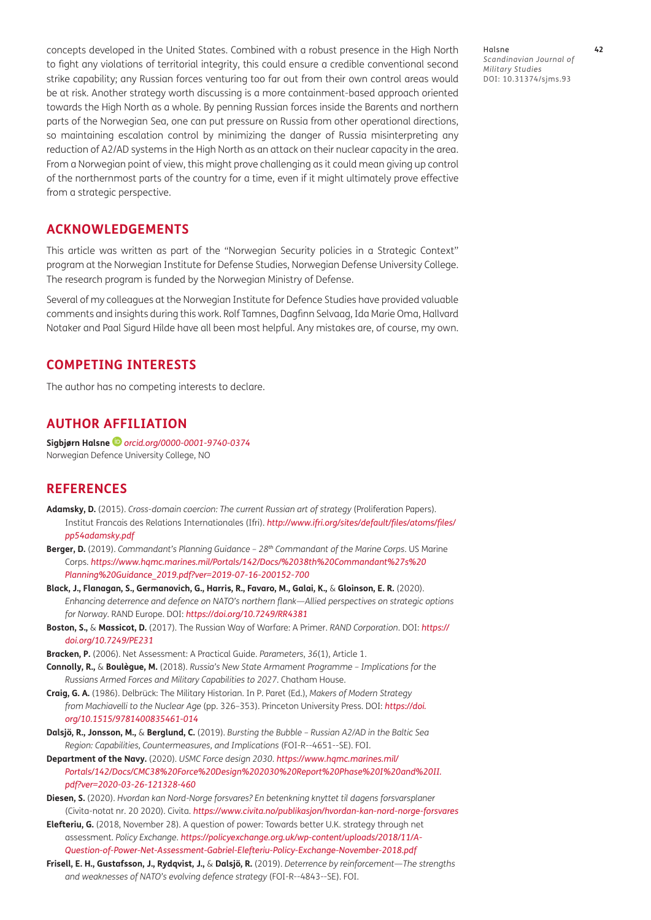<span id="page-11-0"></span>concepts developed in the United States. Combined with a robust presence in the High North to fight any violations of territorial integrity, this could ensure a credible conventional second strike capability; any Russian forces venturing too far out from their own control areas would be at risk. Another strategy worth discussing is a more containment-based approach oriented towards the High North as a whole. By penning Russian forces inside the Barents and northern parts of the Norwegian Sea, one can put pressure on Russia from other operational directions, so maintaining escalation control by minimizing the danger of Russia misinterpreting any reduction of A2/AD systems in the High North as an attack on their nuclear capacity in the area. From a Norwegian point of view, this might prove challenging as it could mean giving up control of the northernmost parts of the country for a time, even if it might ultimately prove effective from a strategic perspective.

**ACKNOWLEDGEMENTS**

This article was written as part of the "Norwegian Security policies in a Strategic Context" program at the Norwegian Institute for Defense Studies, Norwegian Defense University College. The research program is funded by the Norwegian Ministry of Defense.

Several of my colleagues at the Norwegian Institute for Defence Studies have provided valuable comments and insights during this work. Rolf Tamnes, Dagfinn Selvaag, Ida Marie Oma, Hallvard Notaker and Paal Sigurd Hilde have all been most helpful. Any mistakes are, of course, my own.

## **COMPETING INTERESTS**

The author has no competing interests to declare.

# **AUTHOR AFFILIATION**

**Sigbjørn Halsne** *[orcid.org/0000-0001-9740-0374](https://orcid.org/0000-0001-9740-0374)* Norwegian Defence University College, NO

## **REFERENCES**

- **Adamsky, D.** (2015). *Cross-domain coercion: The current Russian art of strategy* (Proliferation Papers). Institut Francais des Relations Internationales (Ifri). *[http://www.ifri.org/sites/default/files/atoms/files/](http://www.ifri.org/sites/default/files/atoms/files/pp54adamsky.pdf) [pp54adamsky.pdf](http://www.ifri.org/sites/default/files/atoms/files/pp54adamsky.pdf)*
- **Berger, D.** (2019). *Commandant's Planning Guidance 28th Commandant of the Marine Corps*. US Marine Corps. *[https://www.hqmc.marines.mil/Portals/142/Docs/%2038th%20Commandant%27s%20](https://www.hqmc.marines.mil/Portals/142/Docs/%2038th%20Commandant%27s%20Planning%20Guidance_2019.pdf?ver=2019-07-16-200152-700) [Planning%20Guidance\\_2019.pdf?ver=2019-07-16-200152-700](https://www.hqmc.marines.mil/Portals/142/Docs/%2038th%20Commandant%27s%20Planning%20Guidance_2019.pdf?ver=2019-07-16-200152-700)*
- **Black, J., Flanagan, S., Germanovich, G., Harris, R., Favaro, M., Galai, K.,** & **Gloinson, E. R.** (2020). *Enhancing deterrence and defence on NATO's northern flank—Allied perspectives on strategic options for Norway*. RAND Europe. DOI: *<https://doi.org/10.7249/RR4381>*
- **Boston, S.,** & **Massicot, D.** (2017). The Russian Way of Warfare: A Primer. *RAND Corporation*. DOI: *[https://](https://doi.org/10.7249/PE231) [doi.org/10.7249/PE231](https://doi.org/10.7249/PE231)*
- **Bracken, P.** (2006). Net Assessment: A Practical Guide. *Parameters*, *36*(1), Article 1.
- **Connolly, R.,** & **Boulègue, M.** (2018). *Russia's New State Armament Programme Implications for the Russians Armed Forces and Military Capabilities to 2027*. Chatham House.
- **Craig, G. A.** (1986). Delbrück: The Military Historian. In P. Paret (Ed.), *Makers of Modern Strategy from Machiavelli to the Nuclear Age* (pp. 326–353). Princeton University Press. DOI: *[https://doi.](https://doi.org/10.1515/9781400835461-014) [org/10.1515/9781400835461-014](https://doi.org/10.1515/9781400835461-014)*
- **Dalsjö, R., Jonsson, M.,** & **Berglund, C.** (2019). *Bursting the Bubble Russian A2/AD in the Baltic Sea Region: Capabilities, Countermeasures, and Implications* (FOI-R--4651--SE). FOI.
- **Department of the Navy.** (2020). *USMC Force design 2030*. *[https://www.hqmc.marines.mil/](https://www.hqmc.marines.mil/Portals/142/Docs/CMC38%20Force%20Design%202030%20Report%20Phase%20I%20and%20II.pdf?ver=2020-03-26-121328-460) [Portals/142/Docs/CMC38%20Force%20Design%202030%20Report%20Phase%20I%20and%20II.](https://www.hqmc.marines.mil/Portals/142/Docs/CMC38%20Force%20Design%202030%20Report%20Phase%20I%20and%20II.pdf?ver=2020-03-26-121328-460) [pdf?ver=2020-03-26-121328-460](https://www.hqmc.marines.mil/Portals/142/Docs/CMC38%20Force%20Design%202030%20Report%20Phase%20I%20and%20II.pdf?ver=2020-03-26-121328-460)*
- **Diesen, S.** (2020). *Hvordan kan Nord-Norge forsvares? En betenkning knyttet til dagens forsvarsplaner*  (Civita-notat nr. 20 2020). Civita. *<https://www.civita.no/publikasjon/hvordan-kan-nord-norge-forsvares>*
- **Elefteriu, G.** (2018, November 28). A question of power: Towards better U.K. strategy through net assessment. *Policy Exchange*. *[https://policyexchange.org.uk/wp-content/uploads/2018/11/A-](https://policyexchange.org.uk/wp-content/uploads/2018/11/A-Question-of-Power-Net-Assessment-Gabriel-Elefteriu-Policy-Exchange-November-2018.pdf)[Question-of-Power-Net-Assessment-Gabriel-Elefteriu-Policy-Exchange-November-2018.pdf](https://policyexchange.org.uk/wp-content/uploads/2018/11/A-Question-of-Power-Net-Assessment-Gabriel-Elefteriu-Policy-Exchange-November-2018.pdf)*
- **Frisell, E. H., Gustafsson, J., Rydqvist, J.,** & **Dalsjö, R.** (2019). *Deterrence by reinforcement—The strengths and weaknesses of NATO's evolving defence strategy* (FOI-R--4843--SE). FOI.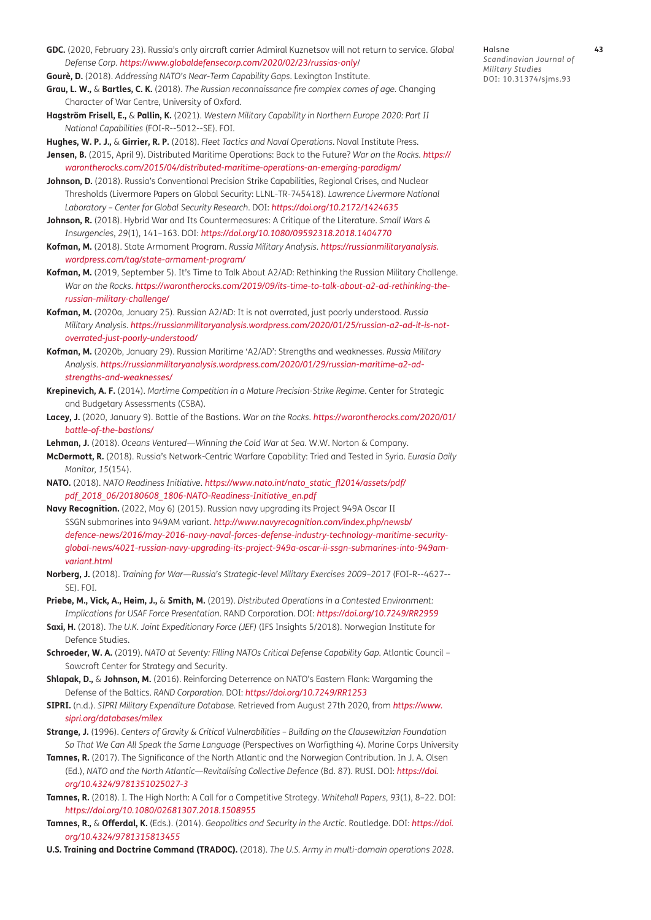- <span id="page-12-0"></span>**GDC.** (2020, February 23). Russia's only aircraft carrier Admiral Kuznetsov will not return to service. *Global Defense Corp*. *[https://www.globaldefensecorp.com/2020/02/23/russias-only](https://www.globaldefensecorp.com/2020/02/23/russias-only/)*/
- **Gourè, D.** (2018). *Addressing NATO's Near-Term Capability Gaps*. Lexington Institute.

**Grau, L. W.,** & **Bartles, C. K.** (2018). *The Russian reconnaissance fire complex comes of age.* Changing Character of War Centre, University of Oxford.

**Hagström Frisell, E.,** & **Pallin, K.** (2021). *Western Military Capability in Northern Europe 2020: Part II National Capabilities* (FOI-R--5012--SE). FOI.

**Hughes, W. P. J.,** & **Girrier, R. P.** (2018). *Fleet Tactics and Naval Operations*. Naval Institute Press. **Jensen, B.** (2015, April 9). Distributed Maritime Operations: Back to the Future? *War on the Rocks. [https://](https://warontherocks.com/2015/04/distributed-maritime-operations-an-emerging-paradigm/) [warontherocks.com/2015/04/distributed-maritime-operations-an-emerging-paradigm/](https://warontherocks.com/2015/04/distributed-maritime-operations-an-emerging-paradigm/)*

- Johnson, D. (2018). Russia's Conventional Precision Strike Capabilities, Regional Crises, and Nuclear Thresholds (Livermore Papers on Global Security: LLNL-TR-745418). *Lawrence Livermore National Laboratory – Center for Global Security Research*. DOI: *<https://doi.org/10.2172/1424635>*
- **Johnson, R.** (2018). Hybrid War and Its Countermeasures: A Critique of the Literature. *Small Wars & Insurgencies*, *29*(1), 141–163. DOI: *<https://doi.org/10.1080/09592318.2018.1404770>*
- **Kofman, M.** (2018). State Armament Program. *Russia Military Analysis*. *[https://russianmilitaryanalysis.](https://russianmilitaryanalysis.wordpress.com/tag/state-armament-program/) [wordpress.com/tag/state-armament-program/](https://russianmilitaryanalysis.wordpress.com/tag/state-armament-program/)*
- **Kofman, M.** (2019, September 5). It's Time to Talk About A2/AD: Rethinking the Russian Military Challenge. *War on the Rocks*. *[https://warontherocks.com/2019/09/its-time-to-talk-about-a2-ad-rethinking-the](https://warontherocks.com/2019/09/its-time-to-talk-about-a2-ad-rethinking-the-russian-military-challenge/)[russian-military-challenge/](https://warontherocks.com/2019/09/its-time-to-talk-about-a2-ad-rethinking-the-russian-military-challenge/)*
- **Kofman, M.** (2020a, January 25). Russian A2/AD: It is not overrated, just poorly understood. *Russia Military Analysis*. *[https://russianmilitaryanalysis.wordpress.com/2020/01/25/russian-a2-ad-it-is-not](https://russianmilitaryanalysis.wordpress.com/2020/01/25/russian-a2-ad-it-is-not-overrated-just-poorly-understood/)[overrated-just-poorly-understood/](https://russianmilitaryanalysis.wordpress.com/2020/01/25/russian-a2-ad-it-is-not-overrated-just-poorly-understood/)*
- **Kofman, M.** (2020b, January 29). Russian Maritime 'A2/AD': Strengths and weaknesses. *Russia Military Analysis*. *[https://russianmilitaryanalysis.wordpress.com/2020/01/29/russian-maritime-a2-ad](https://russianmilitaryanalysis.wordpress.com/2020/01/29/russian-maritime-a2-ad-strengths-and-weaknesses/)[strengths-and-weaknesses/](https://russianmilitaryanalysis.wordpress.com/2020/01/29/russian-maritime-a2-ad-strengths-and-weaknesses/)*
- **Krepinevich, A. F.** (2014). *Martime Competition in a Mature Precision-Strike Regime*. Center for Strategic and Budgetary Assessments (CSBA).
- **Lacey, J.** (2020, January 9). Battle of the Bastions. *War on the Rocks*. *[https://warontherocks.com/2020/01/](https://warontherocks.com/2020/01/battle-of-the-bastions/) [battle-of-the-bastions/](https://warontherocks.com/2020/01/battle-of-the-bastions/)*
- **Lehman, J.** (2018). *Oceans Ventured—Winning the Cold War at Sea*. W.W. Norton & Company.
- **McDermott, R.** (2018). Russia's Network-Centric Warfare Capability: Tried and Tested in Syria. *Eurasia Daily Monitor, 15*(154).
- **NATO.** (2018). *NATO Readiness Initiative*. *[https://www.nato.int/nato\\_static\\_fl2014/assets/pdf/](https://www.nato.int/nato_static_fl2014/assets/pdf/pdf_2018_06/20180608_1806-NATO-Readiness-Initiative_en.pdf) [pdf\\_2018\\_06/20180608\\_1806-NATO-Readiness-Initiative\\_en.pdf](https://www.nato.int/nato_static_fl2014/assets/pdf/pdf_2018_06/20180608_1806-NATO-Readiness-Initiative_en.pdf)*
- **Navy Recognition.** (2022, May 6) (2015). Russian navy upgrading its Project 949A Oscar II SSGN submarines into 949AM variant. *[http://www.navyrecognition.com/index.php/newsb/](http://www.navyrecognition.com/index.php/newsb/defence-news/2016/may-2016-navy-naval-forces-defense-industry-technology-maritime-security-global-news/4021-russian-navy-upgrading-its-project-949a-oscar-ii-ssgn-submarines-into-949am-variant.html) [defence-news/2016/may-2016-navy-naval-forces-defense-industry-technology-maritime-security](http://www.navyrecognition.com/index.php/newsb/defence-news/2016/may-2016-navy-naval-forces-defense-industry-technology-maritime-security-global-news/4021-russian-navy-upgrading-its-project-949a-oscar-ii-ssgn-submarines-into-949am-variant.html)[global-news/4021-russian-navy-upgrading-its-project-949a-oscar-ii-ssgn-submarines-into-949am](http://www.navyrecognition.com/index.php/newsb/defence-news/2016/may-2016-navy-naval-forces-defense-industry-technology-maritime-security-global-news/4021-russian-navy-upgrading-its-project-949a-oscar-ii-ssgn-submarines-into-949am-variant.html)[variant.html](http://www.navyrecognition.com/index.php/newsb/defence-news/2016/may-2016-navy-naval-forces-defense-industry-technology-maritime-security-global-news/4021-russian-navy-upgrading-its-project-949a-oscar-ii-ssgn-submarines-into-949am-variant.html)*
- **Norberg, J.** (2018). *Training for War—Russia's Strategic-level Military Exercises 2009–2017* (FOI-R--4627-- SE). FOI.
- **Priebe, M., Vick, A., Heim, J.,** & **Smith, M.** (2019). *Distributed Operations in a Contested Environment: Implications for USAF Force Presentation*. RAND Corporation. DOI: *<https://doi.org/10.7249/RR2959>*
- **Saxi, H.** (2018). *The U.K. Joint Expeditionary Force (JEF)* (IFS Insights 5/2018). Norwegian Institute for Defence Studies.
- **Schroeder, W. A.** (2019). *NATO at Seventy: Filling NATOs Critical Defense Capability Gap*. Atlantic Council Sowcroft Center for Strategy and Security.
- **Shlapak, D.,** & **Johnson, M.** (2016). Reinforcing Deterrence on NATO's Eastern Flank: Wargaming the Defense of the Baltics. *RAND Corporation*. DOI: *<https://doi.org/10.7249/RR1253>*
- **SIPRI.** (n.d.). *SIPRI Military Expenditure Database.* Retrieved from August 27th 2020, from *[https://www.](https://www.sipri.org/databases/milex) [sipri.org/databases/milex](https://www.sipri.org/databases/milex)*
- **Strange, J.** (1996). *Centers of Gravity & Critical Vulnerabilities Building on the Clausewitzian Foundation So That We Can All Speak the Same Language* (Perspectives on Warfigthing 4). Marine Corps University
- **Tamnes, R.** (2017). The Significance of the North Atlantic and the Norwegian Contribution. In J. A. Olsen (Ed.), *NATO and the North Atlantic—Revitalising Collective Defence* (Bd. 87). RUSI. DOI: *[https://doi.](https://doi.org/10.4324/9781351025027-3) [org/10.4324/9781351025027-3](https://doi.org/10.4324/9781351025027-3)*
- **Tamnes, R.** (2018). I. The High North: A Call for a Competitive Strategy. *Whitehall Papers*, *93*(1), 8–22. DOI: *<https://doi.org/10.1080/02681307.2018.1508955>*
- **Tamnes, R.,** & **Offerdal, K.** (Eds.). (2014). *Geopolitics and Security in the Arctic*. Routledge. DOI: *[https://doi.](https://doi.org/10.4324/9781315813455) [org/10.4324/9781315813455](https://doi.org/10.4324/9781315813455)*
- **U.S. Training and Doctrine Command (TRADOC).** (2018). *The U.S. Army in multi-domain operations 2028*.

Halsne **43** *Scandinavian Journal of Military Studies* DOI: [10.31374/sjms.93](https://doi.org/10.31374/sjms.93)